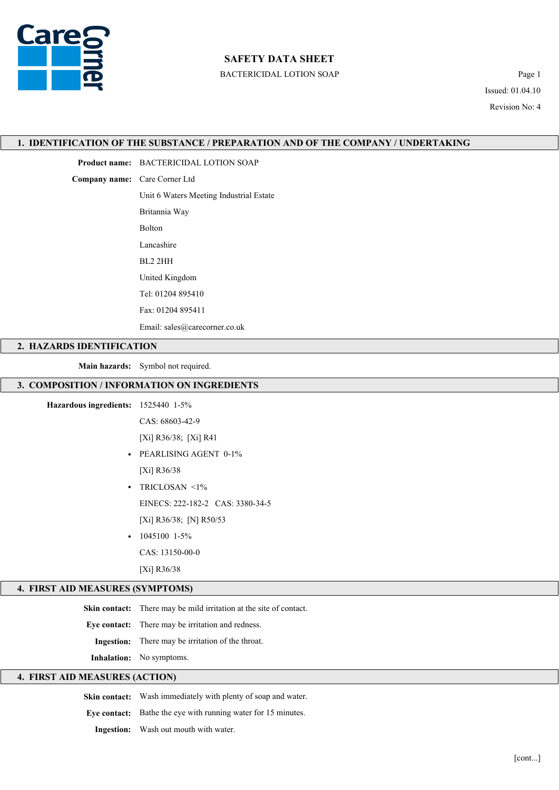

## SAFETY DATA SHEET

BACTERICIDAL LOTION SOAP Page 1

Issued: 01.04.10 Revision No: 4

#### 1. IDENTIFICATION OF THE SUBSTANCE / PREPARATION AND OF THE COMPANY / UNDERTAKING

Product name: BACTERICIDAL LOTION SOAP

Company name: Care Corner Ltd

Unit 6 Waters Meeting Industrial Estate

Britannia Way

Bolton

Lancashire

BL2 2HH

United Kingdom

Tel: 01204 895410

Fax: 01204 895411

Email: sales@carecorner.co.uk

### 2. HAZARDS IDENTIFICATION

Main hazards: Symbol not required.

### 3. COMPOSITION / INFORMATION ON INGREDIENTS

### Hazardous ingredients: 1525440 1-5%

CAS: 68603-42-9

[Xi] R36/38; [Xi] R41

- PEARLISING AGENT 0-1% [Xi] R36/38
- TRICLOSAN <1% EINECS: 222-182-2 CAS: 3380-34-5 [Xi] R36/38; [N] R50/53
- $\cdot$  1045100 1-5%

CAS: 13150-00-0

[Xi] R36/38

### 4. FIRST AID MEASURES (SYMPTOMS)

Skin contact: There may be mild irritation at the site of contact.

Eye contact: There may be irritation and redness.

Ingestion: There may be irritation of the throat.

Inhalation: No symptoms.

# 4. FIRST AID MEASURES (ACTION)

Skin contact: Wash immediately with plenty of soap and water.

Eye contact: Bathe the eye with running water for 15 minutes.

Ingestion: Wash out mouth with water.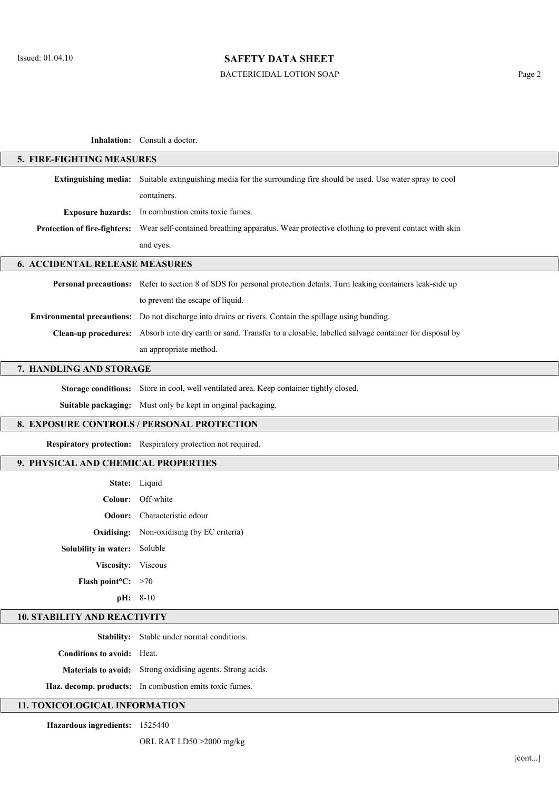# SAFETY DATA SHEET

# BACTERICIDAL LOTION SOAP Page 2

Inhalation: Consult a doctor

| 5. FIRE-FIGHTING MEASURES                               |                                                                                                                        |  |
|---------------------------------------------------------|------------------------------------------------------------------------------------------------------------------------|--|
| <b>Extinguishing media:</b>                             | Suitable extinguishing media for the surrounding fire should be used. Use water spray to cool                          |  |
|                                                         | containers.                                                                                                            |  |
| <b>Exposure hazards:</b>                                | In combustion emits toxic fumes.                                                                                       |  |
| Protection of fire-fighters:                            | Wear self-contained breathing apparatus. Wear protective clothing to prevent contact with skin                         |  |
|                                                         | and eyes.                                                                                                              |  |
|                                                         |                                                                                                                        |  |
| <b>6. ACCIDENTAL RELEASE MEASURES</b>                   |                                                                                                                        |  |
|                                                         | Personal precautions: Refer to section 8 of SDS for personal protection details. Turn leaking containers leak-side up  |  |
|                                                         | to prevent the escape of liquid.                                                                                       |  |
|                                                         | Environmental precautions: Do not discharge into drains or rivers. Contain the spillage using bunding.                 |  |
|                                                         | Clean-up procedures: Absorb into dry earth or sand. Transfer to a closable, labelled salvage container for disposal by |  |
|                                                         | an appropriate method.                                                                                                 |  |
| 7. HANDLING AND STORAGE                                 |                                                                                                                        |  |
|                                                         | Storage conditions: Store in cool, well ventilated area. Keep container tightly closed.                                |  |
|                                                         | Suitable packaging: Must only be kept in original packaging.                                                           |  |
|                                                         | 8. EXPOSURE CONTROLS / PERSONAL PROTECTION                                                                             |  |
|                                                         | Respiratory protection: Respiratory protection not required.                                                           |  |
| 9. PHYSICAL AND CHEMICAL PROPERTIES                     |                                                                                                                        |  |
|                                                         | State: Liquid                                                                                                          |  |
| Colour:                                                 | Off-white                                                                                                              |  |
| Odour:                                                  | Characteristic odour                                                                                                   |  |
|                                                         | <b>Oxidising:</b> Non-oxidising (by EC criteria)                                                                       |  |
| Solubility in water: Soluble                            |                                                                                                                        |  |
| Viscosity: Viscous                                      |                                                                                                                        |  |
| Flash point <sup>o</sup> C: $>70$                       |                                                                                                                        |  |
|                                                         | pH: 8-10                                                                                                               |  |
| <b>10. STABILITY AND REACTIVITY</b>                     |                                                                                                                        |  |
|                                                         | Stability: Stable under normal conditions.                                                                             |  |
| Conditions to avoid: Heat.                              |                                                                                                                        |  |
|                                                         | Materials to avoid: Strong oxidising agents. Strong acids.                                                             |  |
|                                                         |                                                                                                                        |  |
| Haz. decomp. products: In combustion emits toxic fumes. |                                                                                                                        |  |
| 11. TOXICOLOGICAL INFORMATION                           |                                                                                                                        |  |

ORL RAT LD50 >2000 mg/kg